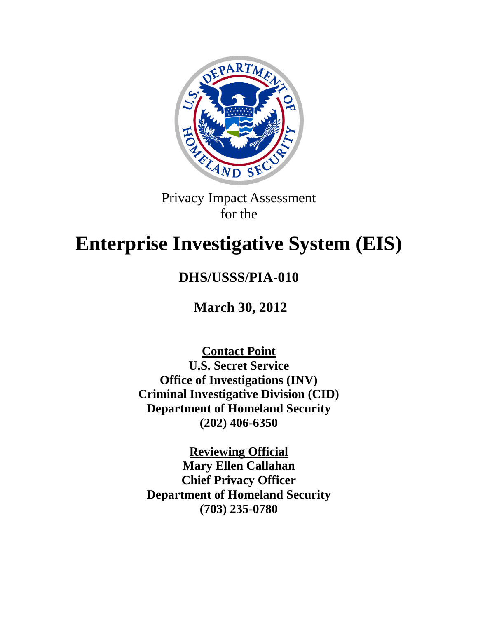

Privacy Impact Assessment for the

# **Enterprise Investigative System (EIS)**

## **DHS/USSS/PIA-010**

**March 30, 2012**

**Contact Point U.S. Secret Service Office of Investigations (INV) Criminal Investigative Division (CID) Department of Homeland Security (202) 406-6350**

**Reviewing Official Mary Ellen Callahan Chief Privacy Officer Department of Homeland Security (703) 235-0780**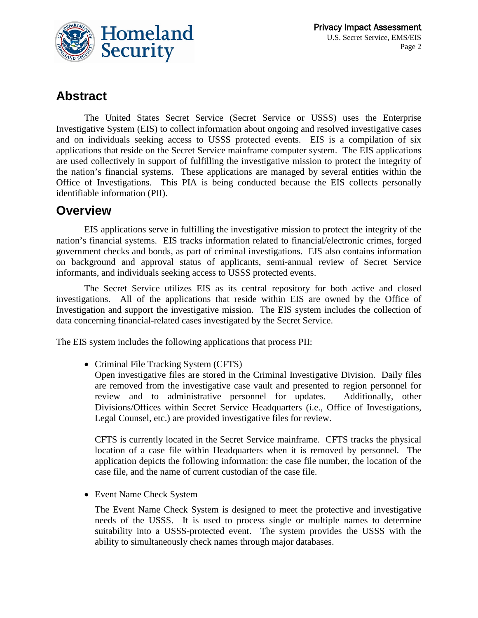

## **Abstract**

The United States Secret Service (Secret Service or USSS) uses the Enterprise Investigative System (EIS) to collect information about ongoing and resolved investigative cases and on individuals seeking access to USSS protected events. EIS is a compilation of six applications that reside on the Secret Service mainframe computer system. The EIS applications are used collectively in support of fulfilling the investigative mission to protect the integrity of the nation's financial systems. These applications are managed by several entities within the Office of Investigations. This PIA is being conducted because the EIS collects personally identifiable information (PII).

## **Overview**

EIS applications serve in fulfilling the investigative mission to protect the integrity of the nation's financial systems. EIS tracks information related to financial/electronic crimes, forged government checks and bonds, as part of criminal investigations. EIS also contains information on background and approval status of applicants, semi-annual review of Secret Service informants, and individuals seeking access to USSS protected events.

The Secret Service utilizes EIS as its central repository for both active and closed investigations. All of the applications that reside within EIS are owned by the Office of Investigation and support the investigative mission. The EIS system includes the collection of data concerning financial-related cases investigated by the Secret Service.

The EIS system includes the following applications that process PII:

• Criminal File Tracking System (CFTS)

Open investigative files are stored in the Criminal Investigative Division. Daily files are removed from the investigative case vault and presented to region personnel for review and to administrative personnel for updates. Additionally, other Divisions/Offices within Secret Service Headquarters (i.e., Office of Investigations, Legal Counsel, etc.) are provided investigative files for review.

CFTS is currently located in the Secret Service mainframe. CFTS tracks the physical location of a case file within Headquarters when it is removed by personnel. The application depicts the following information: the case file number, the location of the case file, and the name of current custodian of the case file.

• Event Name Check System

The Event Name Check System is designed to meet the protective and investigative needs of the USSS. It is used to process single or multiple names to determine suitability into a USSS-protected event. The system provides the USSS with the ability to simultaneously check names through major databases.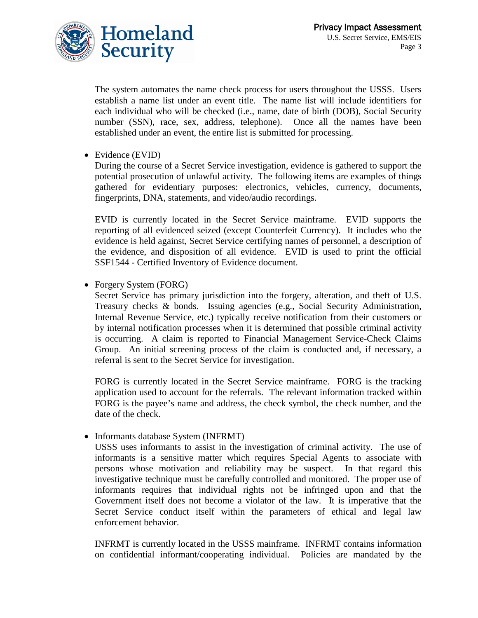

The system automates the name check process for users throughout the USSS. Users establish a name list under an event title. The name list will include identifiers for each individual who will be checked (i.e., name, date of birth (DOB), Social Security number (SSN), race, sex, address, telephone). Once all the names have been established under an event, the entire list is submitted for processing.

• Evidence (EVID)

During the course of a Secret Service investigation, evidence is gathered to support the potential prosecution of unlawful activity. The following items are examples of things gathered for evidentiary purposes: electronics, vehicles, currency, documents, fingerprints, DNA, statements, and video/audio recordings.

EVID is currently located in the Secret Service mainframe. EVID supports the reporting of all evidenced seized (except Counterfeit Currency). It includes who the evidence is held against, Secret Service certifying names of personnel, a description of the evidence, and disposition of all evidence. EVID is used to print the official SSF1544 - Certified Inventory of Evidence document.

• Forgery System (FORG)

Secret Service has primary jurisdiction into the forgery, alteration, and theft of U.S. Treasury checks & bonds. Issuing agencies (e.g., Social Security Administration, Internal Revenue Service, etc.) typically receive notification from their customers or by internal notification processes when it is determined that possible criminal activity is occurring. A claim is reported to Financial Management Service-Check Claims Group. An initial screening process of the claim is conducted and, if necessary, a referral is sent to the Secret Service for investigation.

FORG is currently located in the Secret Service mainframe. FORG is the tracking application used to account for the referrals. The relevant information tracked within FORG is the payee's name and address, the check symbol, the check number, and the date of the check.

• Informants database System (INFRMT)

USSS uses informants to assist in the investigation of criminal activity. The use of informants is a sensitive matter which requires Special Agents to associate with persons whose motivation and reliability may be suspect. In that regard this investigative technique must be carefully controlled and monitored. The proper use of informants requires that individual rights not be infringed upon and that the Government itself does not become a violator of the law. It is imperative that the Secret Service conduct itself within the parameters of ethical and legal law enforcement behavior.

INFRMT is currently located in the USSS mainframe. INFRMT contains information on confidential informant/cooperating individual. Policies are mandated by the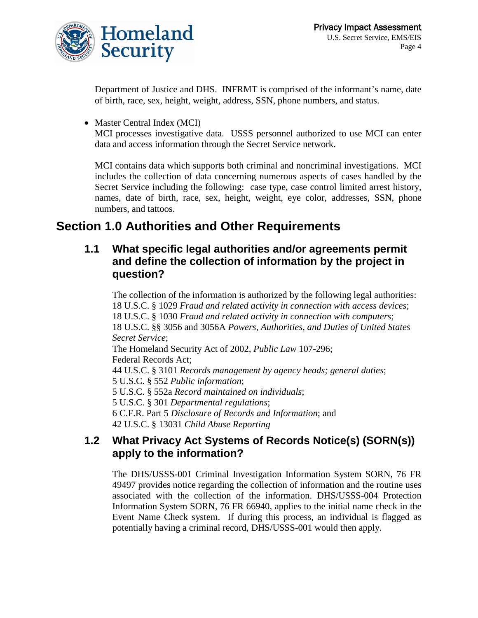

Department of Justice and DHS. INFRMT is comprised of the informant's name, date of birth, race, sex, height, weight, address, SSN, phone numbers, and status.

• Master Central Index (MCI)

MCI processes investigative data. USSS personnel authorized to use MCI can enter data and access information through the Secret Service network.

MCI contains data which supports both criminal and noncriminal investigations. MCI includes the collection of data concerning numerous aspects of cases handled by the Secret Service including the following: case type, case control limited arrest history, names, date of birth, race, sex, height, weight, eye color, addresses, SSN, phone numbers, and tattoos.

## **Section 1.0 Authorities and Other Requirements**

## **1.1 What specific legal authorities and/or agreements permit and define the collection of information by the project in question?**

The collection of the information is authorized by the following legal authorities: 18 U.S.C. § 1029 *Fraud and related activity in connection with access devices*; 18 U.S.C. § 1030 *Fraud and related activity in connection with computers*; 18 U.S.C. §§ 3056 and 3056A *Powers, Authorities, and Duties of United States Secret Service*; The Homeland Security Act of 2002, *Public Law* 107-296; Federal Records Act; 44 U.S.C. § 3101 *Records management by agency heads; general duties*; 5 U.S.C. § 552 *Public information*; 5 U.S.C. § 552a *Record maintained on individuals*; 5 U.S.C. § 301 *Departmental regulations*; 6 C.F.R. Part 5 *Disclosure of Records and Information*; and 42 U.S.C. § 13031 *Child Abuse Reporting*

## **1.2 What Privacy Act Systems of Records Notice(s) (SORN(s)) apply to the information?**

The DHS/USSS-001 Criminal Investigation Information System SORN, 76 FR 49497 provides notice regarding the collection of information and the routine uses associated with the collection of the information. DHS/USSS-004 Protection Information System SORN, 76 FR 66940, applies to the initial name check in the Event Name Check system. If during this process, an individual is flagged as potentially having a criminal record, DHS/USSS-001 would then apply.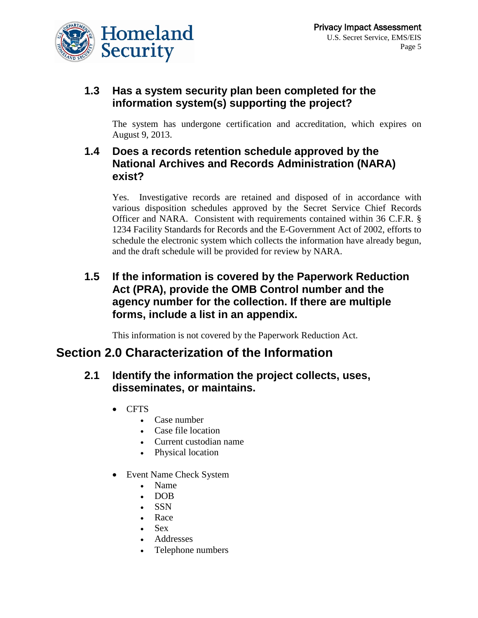

## **1.3 Has a system security plan been completed for the information system(s) supporting the project?**

The system has undergone certification and accreditation, which expires on August 9, 2013.

## **1.4 Does a records retention schedule approved by the National Archives and Records Administration (NARA) exist?**

Yes. Investigative records are retained and disposed of in accordance with various disposition schedules approved by the Secret Service Chief Records Officer and NARA. Consistent with requirements contained within 36 C.F.R. § 1234 Facility Standards for Records and the E-Government Act of 2002, efforts to schedule the electronic system which collects the information have already begun, and the draft schedule will be provided for review by NARA.

## **1.5 If the information is covered by the Paperwork Reduction Act (PRA), provide the OMB Control number and the agency number for the collection. If there are multiple forms, include a list in an appendix.**

This information is not covered by the Paperwork Reduction Act.

## **Section 2.0 Characterization of the Information**

#### **2.1 Identify the information the project collects, uses, disseminates, or maintains.**

- CFTS
	- Case number
	- Case file location
	- Current custodian name
	- Physical location
- Event Name Check System
	- Name
	- DOB
	- SSN
	- Race
	- Sex
	- Addresses
	- Telephone numbers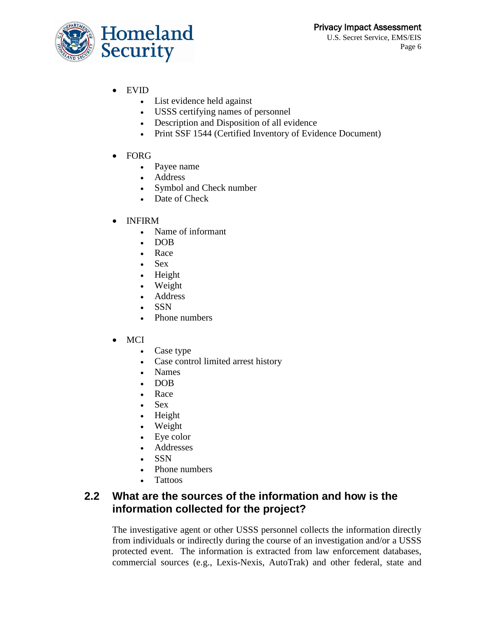

- EVID
	- List evidence held against
	- USSS certifying names of personnel
	- Description and Disposition of all evidence
	- Print SSF 1544 (Certified Inventory of Evidence Document)
- FORG
	- Payee name
	- Address
	- Symbol and Check number
	- Date of Check
- INFIRM
	- Name of informant
	- DOB
	- Race
	- Sex
	- Height
	- Weight
	- Address
	- SSN
	- Phone numbers
- MCI
	- Case type
	- Case control limited arrest history
	- Names
	- DOB
	- Race
	- Sex
	- Height
	- Weight
	- Eye color
	- Addresses
	- SSN
	- Phone numbers
	- Tattoos

## **2.2 What are the sources of the information and how is the information collected for the project?**

The investigative agent or other USSS personnel collects the information directly from individuals or indirectly during the course of an investigation and/or a USSS protected event. The information is extracted from law enforcement databases, commercial sources (e.g., Lexis-Nexis, AutoTrak) and other federal, state and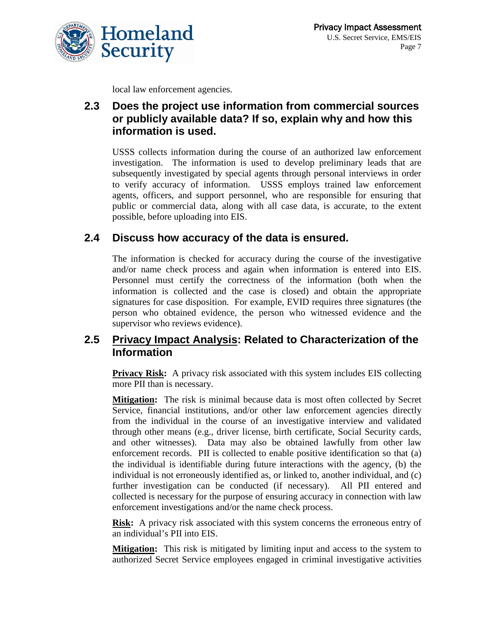

local law enforcement agencies.

## **2.3 Does the project use information from commercial sources or publicly available data? If so, explain why and how this information is used.**

USSS collects information during the course of an authorized law enforcement investigation. The information is used to develop preliminary leads that are subsequently investigated by special agents through personal interviews in order to verify accuracy of information. USSS employs trained law enforcement agents, officers, and support personnel, who are responsible for ensuring that public or commercial data, along with all case data, is accurate, to the extent possible, before uploading into EIS.

## **2.4 Discuss how accuracy of the data is ensured.**

The information is checked for accuracy during the course of the investigative and/or name check process and again when information is entered into EIS. Personnel must certify the correctness of the information (both when the information is collected and the case is closed) and obtain the appropriate signatures for case disposition. For example, EVID requires three signatures (the person who obtained evidence, the person who witnessed evidence and the supervisor who reviews evidence).

#### **2.5 Privacy Impact Analysis: Related to Characterization of the Information**

**Privacy Risk:** A privacy risk associated with this system includes EIS collecting more PII than is necessary.

**Mitigation:** The risk is minimal because data is most often collected by Secret Service, financial institutions, and/or other law enforcement agencies directly from the individual in the course of an investigative interview and validated through other means (e.g., driver license, birth certificate, Social Security cards, and other witnesses). Data may also be obtained lawfully from other law enforcement records. PII is collected to enable positive identification so that (a) the individual is identifiable during future interactions with the agency, (b) the individual is not erroneously identified as, or linked to, another individual, and (c) further investigation can be conducted (if necessary). All PII entered and collected is necessary for the purpose of ensuring accuracy in connection with law enforcement investigations and/or the name check process.

**Risk:** A privacy risk associated with this system concerns the erroneous entry of an individual's PII into EIS.

**Mitigation:** This risk is mitigated by limiting input and access to the system to authorized Secret Service employees engaged in criminal investigative activities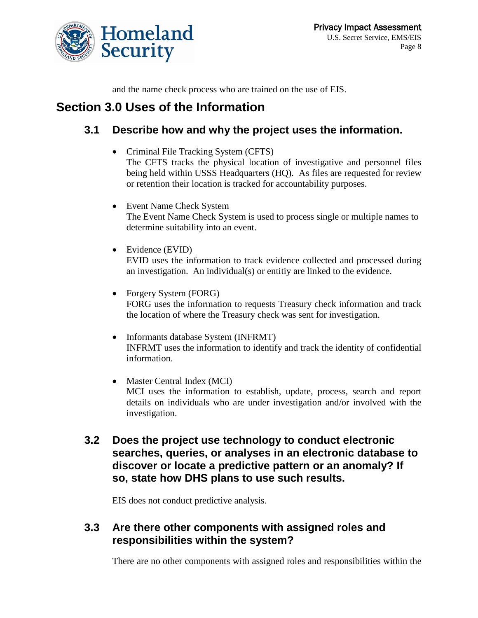

and the name check process who are trained on the use of EIS.

## **Section 3.0 Uses of the Information**

## **3.1 Describe how and why the project uses the information.**

- Criminal File Tracking System (CFTS) The CFTS tracks the physical location of investigative and personnel files being held within USSS Headquarters (HQ). As files are requested for review or retention their location is tracked for accountability purposes.
- Event Name Check System The Event Name Check System is used to process single or multiple names to determine suitability into an event.
- Evidence (EVID) EVID uses the information to track evidence collected and processed during an investigation. An individual(s) or entitiy are linked to the evidence.
- Forgery System (FORG) FORG uses the information to requests Treasury check information and track the location of where the Treasury check was sent for investigation.
- Informants database System (INFRMT) INFRMT uses the information to identify and track the identity of confidential information.
- Master Central Index (MCI) MCI uses the information to establish, update, process, search and report details on individuals who are under investigation and/or involved with the investigation.
- **3.2 Does the project use technology to conduct electronic searches, queries, or analyses in an electronic database to discover or locate a predictive pattern or an anomaly? If so, state how DHS plans to use such results.**

EIS does not conduct predictive analysis.

## **3.3 Are there other components with assigned roles and responsibilities within the system?**

There are no other components with assigned roles and responsibilities within the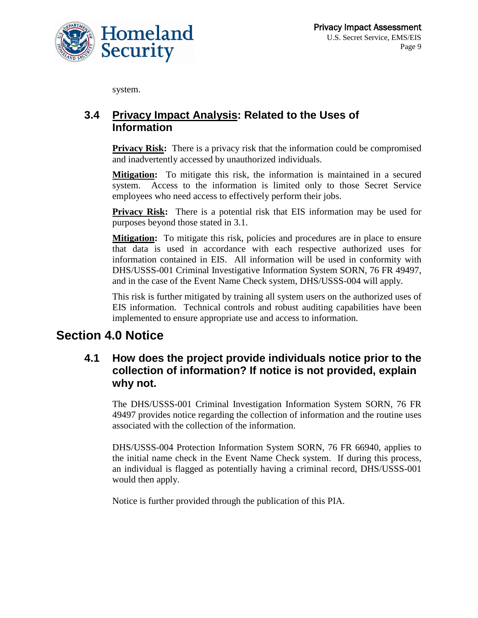

system.

## **3.4 Privacy Impact Analysis: Related to the Uses of Information**

**Privacy Risk:** There is a privacy risk that the information could be compromised and inadvertently accessed by unauthorized individuals.

**Mitigation:** To mitigate this risk, the information is maintained in a secured system. Access to the information is limited only to those Secret Service employees who need access to effectively perform their jobs.

**Privacy Risk:** There is a potential risk that EIS information may be used for purposes beyond those stated in 3.1.

**Mitigation:** To mitigate this risk, policies and procedures are in place to ensure that data is used in accordance with each respective authorized uses for information contained in EIS. All information will be used in conformity with DHS/USSS-001 Criminal Investigative Information System SORN, 76 FR 49497, and in the case of the Event Name Check system, DHS/USSS-004 will apply.

This risk is further mitigated by training all system users on the authorized uses of EIS information. Technical controls and robust auditing capabilities have been implemented to ensure appropriate use and access to information.

## **Section 4.0 Notice**

## **4.1 How does the project provide individuals notice prior to the collection of information? If notice is not provided, explain why not.**

The DHS/USSS-001 Criminal Investigation Information System SORN, 76 FR 49497 provides notice regarding the collection of information and the routine uses associated with the collection of the information.

DHS/USSS-004 Protection Information System SORN, 76 FR 66940, applies to the initial name check in the Event Name Check system. If during this process, an individual is flagged as potentially having a criminal record, DHS/USSS-001 would then apply.

Notice is further provided through the publication of this PIA.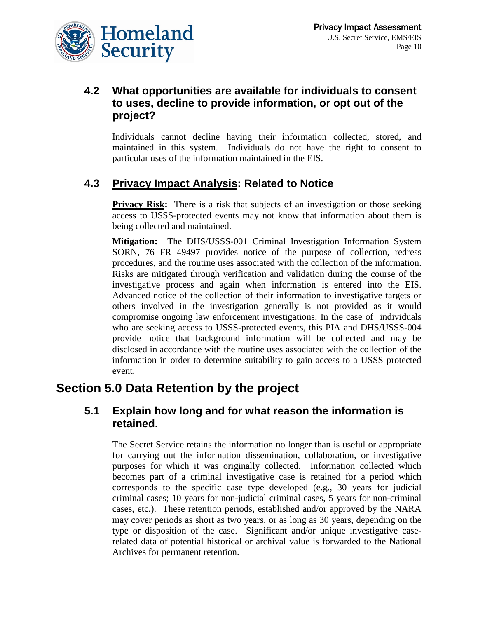

## **4.2 What opportunities are available for individuals to consent to uses, decline to provide information, or opt out of the project?**

Individuals cannot decline having their information collected, stored, and maintained in this system. Individuals do not have the right to consent to particular uses of the information maintained in the EIS.

## **4.3 Privacy Impact Analysis: Related to Notice**

**Privacy Risk:** There is a risk that subjects of an investigation or those seeking access to USSS-protected events may not know that information about them is being collected and maintained.

**Mitigation:** The DHS/USSS-001 Criminal Investigation Information System SORN, 76 FR 49497 provides notice of the purpose of collection, redress procedures, and the routine uses associated with the collection of the information. Risks are mitigated through verification and validation during the course of the investigative process and again when information is entered into the EIS. Advanced notice of the collection of their information to investigative targets or others involved in the investigation generally is not provided as it would compromise ongoing law enforcement investigations. In the case of individuals who are seeking access to USSS-protected events, this PIA and DHS/USSS-004 provide notice that background information will be collected and may be disclosed in accordance with the routine uses associated with the collection of the information in order to determine suitability to gain access to a USSS protected event.

## **Section 5.0 Data Retention by the project**

#### **5.1 Explain how long and for what reason the information is retained.**

The Secret Service retains the information no longer than is useful or appropriate for carrying out the information dissemination, collaboration, or investigative purposes for which it was originally collected. Information collected which becomes part of a criminal investigative case is retained for a period which corresponds to the specific case type developed (e.g., 30 years for judicial criminal cases; 10 years for non-judicial criminal cases, 5 years for non-criminal cases, etc.). These retention periods, established and/or approved by the NARA may cover periods as short as two years, or as long as 30 years, depending on the type or disposition of the case. Significant and/or unique investigative caserelated data of potential historical or archival value is forwarded to the National Archives for permanent retention.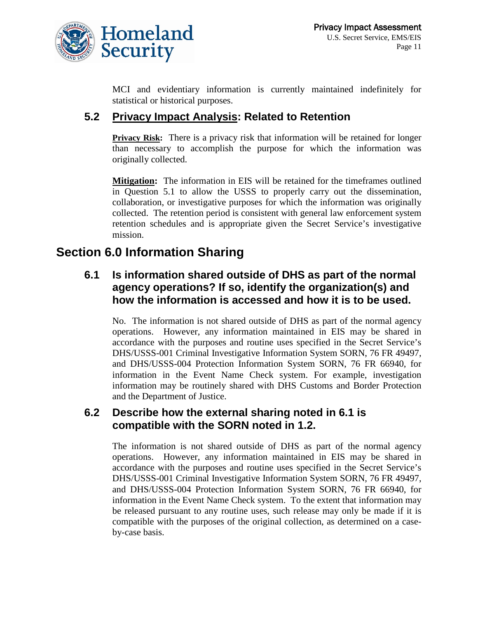

MCI and evidentiary information is currently maintained indefinitely for statistical or historical purposes.

## **5.2 Privacy Impact Analysis: Related to Retention**

**Privacy Risk:** There is a privacy risk that information will be retained for longer than necessary to accomplish the purpose for which the information was originally collected.

**Mitigation:** The information in EIS will be retained for the timeframes outlined in Question 5.1 to allow the USSS to properly carry out the dissemination, collaboration, or investigative purposes for which the information was originally collected. The retention period is consistent with general law enforcement system retention schedules and is appropriate given the Secret Service's investigative mission.

## **Section 6.0 Information Sharing**

## **6.1 Is information shared outside of DHS as part of the normal agency operations? If so, identify the organization(s) and how the information is accessed and how it is to be used.**

No. The information is not shared outside of DHS as part of the normal agency operations. However, any information maintained in EIS may be shared in accordance with the purposes and routine uses specified in the Secret Service's DHS/USSS-001 Criminal Investigative Information System SORN, 76 FR 49497, and DHS/USSS-004 Protection Information System SORN, 76 FR 66940, for information in the Event Name Check system. For example, investigation information may be routinely shared with DHS Customs and Border Protection and the Department of Justice.

#### **6.2 Describe how the external sharing noted in 6.1 is compatible with the SORN noted in 1.2.**

The information is not shared outside of DHS as part of the normal agency operations. However, any information maintained in EIS may be shared in accordance with the purposes and routine uses specified in the Secret Service's DHS/USSS-001 Criminal Investigative Information System SORN, 76 FR 49497, and DHS/USSS-004 Protection Information System SORN, 76 FR 66940, for information in the Event Name Check system. To the extent that information may be released pursuant to any routine uses, such release may only be made if it is compatible with the purposes of the original collection, as determined on a caseby-case basis.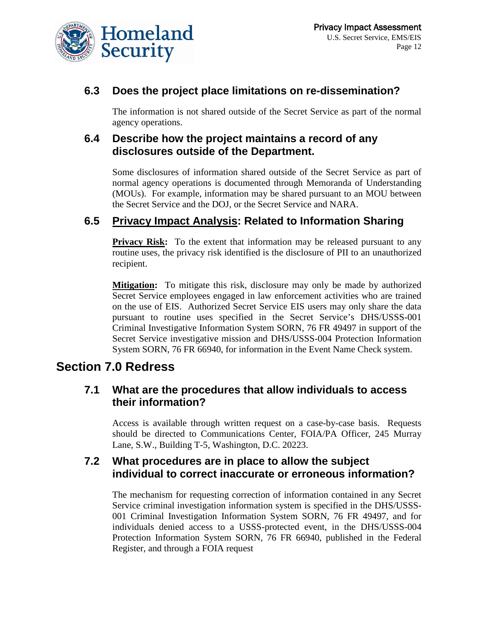

## **6.3 Does the project place limitations on re-dissemination?**

The information is not shared outside of the Secret Service as part of the normal agency operations.

#### **6.4 Describe how the project maintains a record of any disclosures outside of the Department.**

Some disclosures of information shared outside of the Secret Service as part of normal agency operations is documented through Memoranda of Understanding (MOUs). For example, information may be shared pursuant to an MOU between the Secret Service and the DOJ, or the Secret Service and NARA.

## **6.5 Privacy Impact Analysis: Related to Information Sharing**

**Privacy Risk:** To the extent that information may be released pursuant to any routine uses, the privacy risk identified is the disclosure of PII to an unauthorized recipient.

**Mitigation:** To mitigate this risk, disclosure may only be made by authorized Secret Service employees engaged in law enforcement activities who are trained on the use of EIS. Authorized Secret Service EIS users may only share the data pursuant to routine uses specified in the Secret Service's DHS/USSS-001 Criminal Investigative Information System SORN, 76 FR 49497 in support of the Secret Service investigative mission and DHS/USSS-004 Protection Information System SORN, 76 FR 66940, for information in the Event Name Check system.

## **Section 7.0 Redress**

#### **7.1 What are the procedures that allow individuals to access their information?**

Access is available through written request on a case-by-case basis. Requests should be directed to Communications Center, FOIA/PA Officer, 245 Murray Lane, S.W., Building T-5, Washington, D.C. 20223.

#### **7.2 What procedures are in place to allow the subject individual to correct inaccurate or erroneous information?**

The mechanism for requesting correction of information contained in any Secret Service criminal investigation information system is specified in the DHS/USSS-001 Criminal Investigation Information System SORN, 76 FR 49497, and for individuals denied access to a USSS-protected event, in the DHS/USSS-004 Protection Information System SORN, 76 FR 66940, published in the Federal Register, and through a FOIA request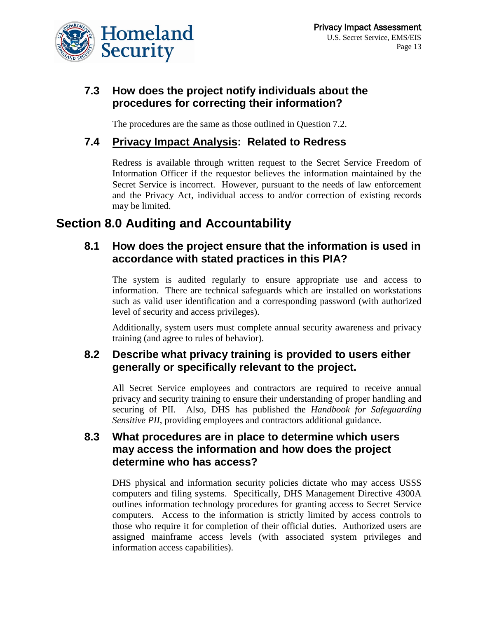

## **7.3 How does the project notify individuals about the procedures for correcting their information?**

The procedures are the same as those outlined in Question 7.2.

## **7.4 Privacy Impact Analysis: Related to Redress**

Redress is available through written request to the Secret Service Freedom of Information Officer if the requestor believes the information maintained by the Secret Service is incorrect. However, pursuant to the needs of law enforcement and the Privacy Act, individual access to and/or correction of existing records may be limited.

## **Section 8.0 Auditing and Accountability**

#### **8.1 How does the project ensure that the information is used in accordance with stated practices in this PIA?**

The system is audited regularly to ensure appropriate use and access to information. There are technical safeguards which are installed on workstations such as valid user identification and a corresponding password (with authorized level of security and access privileges).

Additionally, system users must complete annual security awareness and privacy training (and agree to rules of behavior).

## **8.2 Describe what privacy training is provided to users either generally or specifically relevant to the project.**

All Secret Service employees and contractors are required to receive annual privacy and security training to ensure their understanding of proper handling and securing of PII. Also, DHS has published the *Handbook for Safeguarding Sensitive PII*, providing employees and contractors additional guidance.

## **8.3 What procedures are in place to determine which users may access the information and how does the project determine who has access?**

DHS physical and information security policies dictate who may access USSS computers and filing systems. Specifically, DHS Management Directive 4300A outlines information technology procedures for granting access to Secret Service computers. Access to the information is strictly limited by access controls to those who require it for completion of their official duties. Authorized users are assigned mainframe access levels (with associated system privileges and information access capabilities).